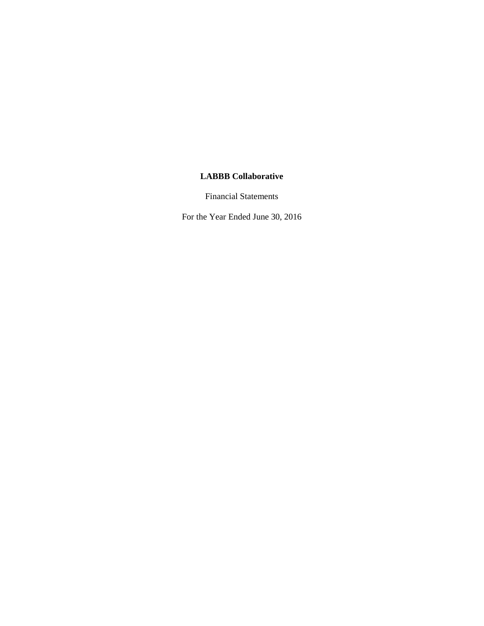Financial Statements

For the Year Ended June 30, 2016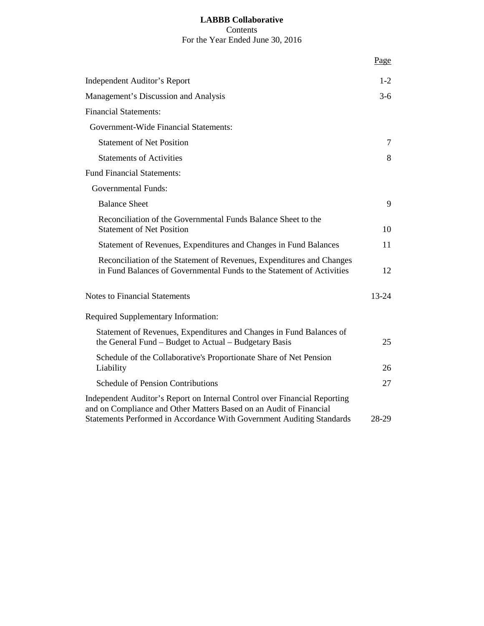# **LABBB Collaborative** Contents For the Year Ended June 30, 2016

|                                                                                                                                                                                                                          | Page      |
|--------------------------------------------------------------------------------------------------------------------------------------------------------------------------------------------------------------------------|-----------|
| Independent Auditor's Report                                                                                                                                                                                             | $1 - 2$   |
| Management's Discussion and Analysis                                                                                                                                                                                     | $3-6$     |
| <b>Financial Statements:</b>                                                                                                                                                                                             |           |
| Government-Wide Financial Statements:                                                                                                                                                                                    |           |
| <b>Statement of Net Position</b>                                                                                                                                                                                         | 7         |
| <b>Statements of Activities</b>                                                                                                                                                                                          | 8         |
| <b>Fund Financial Statements:</b>                                                                                                                                                                                        |           |
| <b>Governmental Funds:</b>                                                                                                                                                                                               |           |
| <b>Balance Sheet</b>                                                                                                                                                                                                     | 9         |
| Reconciliation of the Governmental Funds Balance Sheet to the<br><b>Statement of Net Position</b>                                                                                                                        | 10        |
| Statement of Revenues, Expenditures and Changes in Fund Balances                                                                                                                                                         | 11        |
| Reconciliation of the Statement of Revenues, Expenditures and Changes<br>in Fund Balances of Governmental Funds to the Statement of Activities                                                                           | 12        |
| <b>Notes to Financial Statements</b>                                                                                                                                                                                     | $13 - 24$ |
| Required Supplementary Information:                                                                                                                                                                                      |           |
| Statement of Revenues, Expenditures and Changes in Fund Balances of<br>the General Fund – Budget to Actual – Budgetary Basis                                                                                             | 25        |
| Schedule of the Collaborative's Proportionate Share of Net Pension<br>Liability                                                                                                                                          | 26        |
| <b>Schedule of Pension Contributions</b>                                                                                                                                                                                 | 27        |
| Independent Auditor's Report on Internal Control over Financial Reporting<br>and on Compliance and Other Matters Based on an Audit of Financial<br>Statements Performed in Accordance With Government Auditing Standards | 28-29     |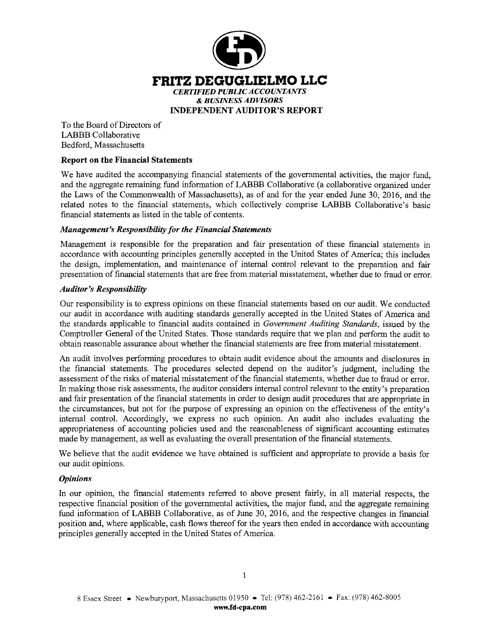

To the Board of Directors of LABBB Collaborative Bedford, Massachusetts

# **Report on the Financial Statements**

We have audited the accompanying financial statements of the governmental activities, the major fund, and the aggregate remaining fund information of LABBB Collaborative (a collaborative organized under the Laws of the Commonwealth of Massachusetts), as of and for the year ended June 30, 2016, and the related notes to the financial statements, which collectively comprise LABBB Collaborative's basic financial statements as listed in the table of contents.

## *Management's Responsibility for the Financial Statements*

Management is responsible for the preparation and fair presentation of these financial statements in accordance with accounting principles generally accepted in the United States of America; this includes the design, implementation, and maintenance of internal control relevant to the preparation and fair presentation of financial statements that are free from material misstatement, whether due to fraud or error.

## *Auditor's Responsibility*

Our responsibility is to express opinions on these financial statements based on our audit. We conducted our audit in accordance with auditing standards generally accepted in the United States of America and the standards applicable to financial audits contained in *Government Auditing Standards,* issued by the Comptroller General of the United States. Those standards require that we plan and perform the audit to obtain reasonable assurance about whether the financial statements are free from material misstatement.

An audit involves performing procedures to obtain audit evidence about the amounts and disclosures in the financial statements. The procedures selected depend on the auditor's judgment, including the assessment of the risks of material misstatement of the financial statements, whether due to fraud or error. In making those risk assessments, the auditor considers internal control relevant to the entity's preparation and fair presentation of the financial statements in order to design audit procedures that are appropriate in the circumstances, but not for the purpose of expressing an opinion on the effectiveness of the entity's internal control. Accordingly, we express no such opinion. An audit also includes evaluating the appropriateness of accounting policies used and the reasonableness of significant accounting estimates made by management, as well as evaluating the overall presentation of the financial statements.

We believe that the audit evidence we have obtained is sufficient and appropriate to provide a basis for our audit opinions.

## *Opinions*

In our opinion, the financial statements referred to above present fairly, in all material respects, the respective financial position of the governmental activities, the major fund, and the aggregate remaining fund information of LABBB Collaborative, as of June 30, 2016, and the respective changes in financial position and, where applicable, cash flows thereof for the years then ended in accordance with accounting principles generally accepted in the United States of America.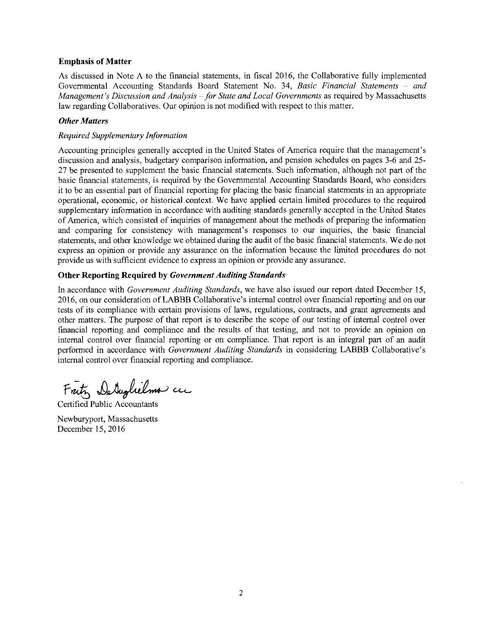#### **Emphasis of Matter**

As discussed in Note A to the financial statements, in fiscal 2016, the Collaborative fully implemented Governmental Accounting Standards Board Statement No. 34, *Basic Financial Statements – and Management's Discussion and Analysis~ for State and Local Governments* as required by Massachusetts law regarding Collaboratives. Our opinion is not modified with respect to this matter.

#### *Other Matters*

# *Required Supplementary Information*

Accounting principles generally accepted in the United States of America require that the management's discussion and analysis, budgetary comparison information, and pension schedules on pages 3-6 and 25- 27 be presented to supplement the basic financial statements. Such information, although not part of the basic financial statements, is required by the Governmental Accounting Standards Board, who considers it to be an essential part of financial reporting for placing the basic financial statements in an appropriate operational, economic, or historical context. We have applied certain limited procedures to the required supplementary information in accordance with auditing standards generally accepted in the United States of America, which consisted of inquiries of management about the methods of preparing the information and comparing for consistency with management's responses to our inquiries, the basic financial statements, and other knowledge we obtained during the audit of the basic financial statements. We do not express an opinion or provide any assurance on the information because the limited procedures do not provide us with sufficient evidence to express an opinion or provide any assurance.

#### **Other Reporting Required by** *Government Auditing Standards*

In accordance with *Government Auditing Standards,* we have also issued our report dated December 15, 2016, on our consideration ofLABBB Collaborative's internal control over financial reporting and on our tests of its compliance with certain provisions of laws, regulations, contracts, and grant agreements and other matters. The purpose of that report is to describe the scope of our testing of internal control over financial reporting and compliance and the results of that testing, and not to provide an opinion on internal control over financial reporting or on compliance. That report is an integral part of an audit performed in accordance with *Government Auditing Standards* in considering **LABBB** Collaborative's internal control over financial reporting and compliance.

Fratz Detaplielmo cu

Certified Public Accountants

Newburyport, Massachusetts December 15, 2016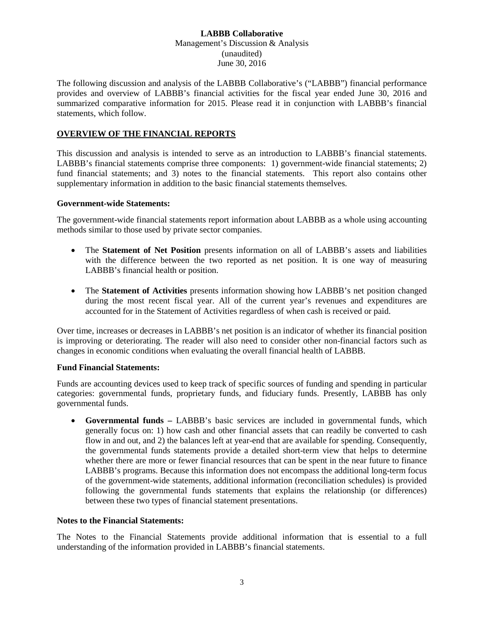The following discussion and analysis of the LABBB Collaborative's ("LABBB") financial performance provides and overview of LABBB's financial activities for the fiscal year ended June 30, 2016 and summarized comparative information for 2015. Please read it in conjunction with LABBB's financial statements, which follow.

#### **OVERVIEW OF THE FINANCIAL REPORTS**

This discussion and analysis is intended to serve as an introduction to LABBB's financial statements. LABBB's financial statements comprise three components: 1) government-wide financial statements; 2) fund financial statements; and 3) notes to the financial statements. This report also contains other supplementary information in addition to the basic financial statements themselves.

#### **Government-wide Statements:**

The government-wide financial statements report information about LABBB as a whole using accounting methods similar to those used by private sector companies.

- The **Statement of Net Position** presents information on all of LABBB's assets and liabilities with the difference between the two reported as net position. It is one way of measuring LABBB's financial health or position.
- The **Statement of Activities** presents information showing how LABBB's net position changed during the most recent fiscal year. All of the current year's revenues and expenditures are accounted for in the Statement of Activities regardless of when cash is received or paid.

Over time, increases or decreases in LABBB's net position is an indicator of whether its financial position is improving or deteriorating. The reader will also need to consider other non-financial factors such as changes in economic conditions when evaluating the overall financial health of LABBB.

#### **Fund Financial Statements:**

Funds are accounting devices used to keep track of specific sources of funding and spending in particular categories: governmental funds, proprietary funds, and fiduciary funds. Presently, LABBB has only governmental funds.

• **Governmental funds –** LABBB's basic services are included in governmental funds, which generally focus on: 1) how cash and other financial assets that can readily be converted to cash flow in and out, and 2) the balances left at year-end that are available for spending. Consequently, the governmental funds statements provide a detailed short-term view that helps to determine whether there are more or fewer financial resources that can be spent in the near future to finance LABBB's programs. Because this information does not encompass the additional long-term focus of the government-wide statements, additional information (reconciliation schedules) is provided following the governmental funds statements that explains the relationship (or differences) between these two types of financial statement presentations.

#### **Notes to the Financial Statements:**

The Notes to the Financial Statements provide additional information that is essential to a full understanding of the information provided in LABBB's financial statements.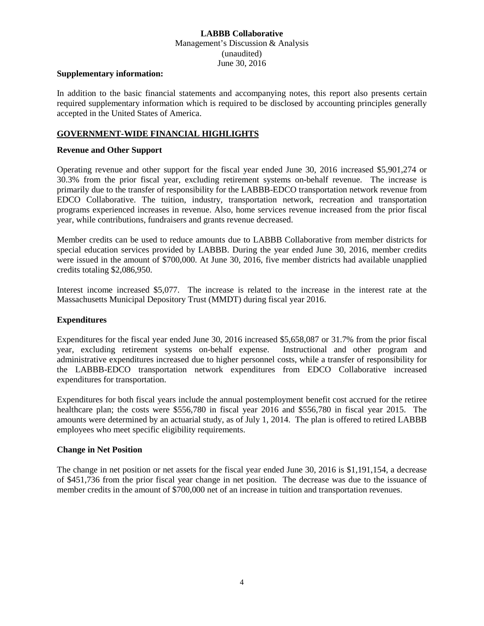#### **Supplementary information:**

In addition to the basic financial statements and accompanying notes, this report also presents certain required supplementary information which is required to be disclosed by accounting principles generally accepted in the United States of America.

#### **GOVERNMENT-WIDE FINANCIAL HIGHLIGHTS**

#### **Revenue and Other Support**

Operating revenue and other support for the fiscal year ended June 30, 2016 increased \$5,901,274 or 30.3% from the prior fiscal year, excluding retirement systems on-behalf revenue. The increase is primarily due to the transfer of responsibility for the LABBB-EDCO transportation network revenue from EDCO Collaborative. The tuition, industry, transportation network, recreation and transportation programs experienced increases in revenue. Also, home services revenue increased from the prior fiscal year, while contributions, fundraisers and grants revenue decreased.

Member credits can be used to reduce amounts due to LABBB Collaborative from member districts for special education services provided by LABBB. During the year ended June 30, 2016, member credits were issued in the amount of \$700,000. At June 30, 2016, five member districts had available unapplied credits totaling \$2,086,950.

Interest income increased \$5,077. The increase is related to the increase in the interest rate at the Massachusetts Municipal Depository Trust (MMDT) during fiscal year 2016.

#### **Expenditures**

Expenditures for the fiscal year ended June 30, 2016 increased \$5,658,087 or 31.7% from the prior fiscal year, excluding retirement systems on-behalf expense. Instructional and other program and administrative expenditures increased due to higher personnel costs, while a transfer of responsibility for the LABBB-EDCO transportation network expenditures from EDCO Collaborative increased expenditures for transportation.

Expenditures for both fiscal years include the annual postemployment benefit cost accrued for the retiree healthcare plan; the costs were \$556,780 in fiscal year 2016 and \$556,780 in fiscal year 2015. The amounts were determined by an actuarial study, as of July 1, 2014. The plan is offered to retired LABBB employees who meet specific eligibility requirements.

#### **Change in Net Position**

The change in net position or net assets for the fiscal year ended June 30, 2016 is \$1,191,154, a decrease of \$451,736 from the prior fiscal year change in net position. The decrease was due to the issuance of member credits in the amount of \$700,000 net of an increase in tuition and transportation revenues.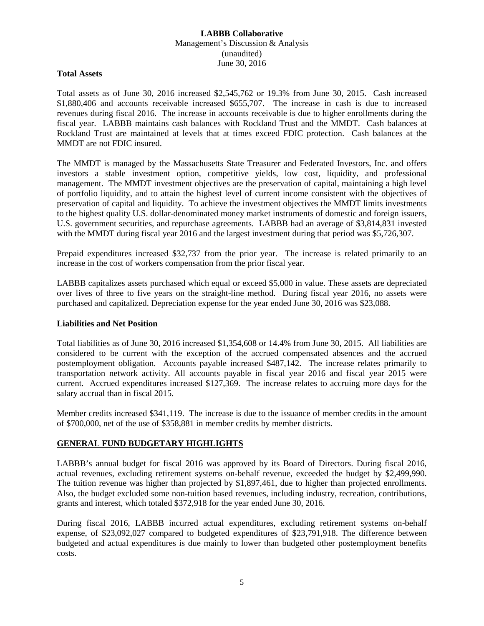#### **Total Assets**

Total assets as of June 30, 2016 increased \$2,545,762 or 19.3% from June 30, 2015. Cash increased \$1,880,406 and accounts receivable increased \$655,707. The increase in cash is due to increased revenues during fiscal 2016. The increase in accounts receivable is due to higher enrollments during the fiscal year. LABBB maintains cash balances with Rockland Trust and the MMDT. Cash balances at Rockland Trust are maintained at levels that at times exceed FDIC protection. Cash balances at the MMDT are not FDIC insured.

The MMDT is managed by the Massachusetts State Treasurer and Federated Investors, Inc. and offers investors a stable investment option, competitive yields, low cost, liquidity, and professional management. The MMDT investment objectives are the preservation of capital, maintaining a high level of portfolio liquidity, and to attain the highest level of current income consistent with the objectives of preservation of capital and liquidity. To achieve the investment objectives the MMDT limits investments to the highest quality U.S. dollar-denominated money market instruments of domestic and foreign issuers, U.S. government securities, and repurchase agreements. LABBB had an average of \$3,814,831 invested with the MMDT during fiscal year 2016 and the largest investment during that period was \$5,726,307.

Prepaid expenditures increased \$32,737 from the prior year. The increase is related primarily to an increase in the cost of workers compensation from the prior fiscal year.

LABBB capitalizes assets purchased which equal or exceed \$5,000 in value. These assets are depreciated over lives of three to five years on the straight-line method. During fiscal year 2016, no assets were purchased and capitalized. Depreciation expense for the year ended June 30, 2016 was \$23,088.

## **Liabilities and Net Position**

Total liabilities as of June 30, 2016 increased \$1,354,608 or 14.4% from June 30, 2015. All liabilities are considered to be current with the exception of the accrued compensated absences and the accrued postemployment obligation. Accounts payable increased \$487,142. The increase relates primarily to transportation network activity. All accounts payable in fiscal year 2016 and fiscal year 2015 were current. Accrued expenditures increased \$127,369. The increase relates to accruing more days for the salary accrual than in fiscal 2015.

Member credits increased \$341,119. The increase is due to the issuance of member credits in the amount of \$700,000, net of the use of \$358,881 in member credits by member districts.

# **GENERAL FUND BUDGETARY HIGHLIGHTS**

LABBB's annual budget for fiscal 2016 was approved by its Board of Directors. During fiscal 2016, actual revenues, excluding retirement systems on-behalf revenue, exceeded the budget by \$2,499,990. The tuition revenue was higher than projected by \$1,897,461, due to higher than projected enrollments. Also, the budget excluded some non-tuition based revenues, including industry, recreation, contributions, grants and interest, which totaled \$372,918 for the year ended June 30, 2016.

During fiscal 2016, LABBB incurred actual expenditures, excluding retirement systems on-behalf expense, of \$23,092,027 compared to budgeted expenditures of \$23,791,918. The difference between budgeted and actual expenditures is due mainly to lower than budgeted other postemployment benefits costs.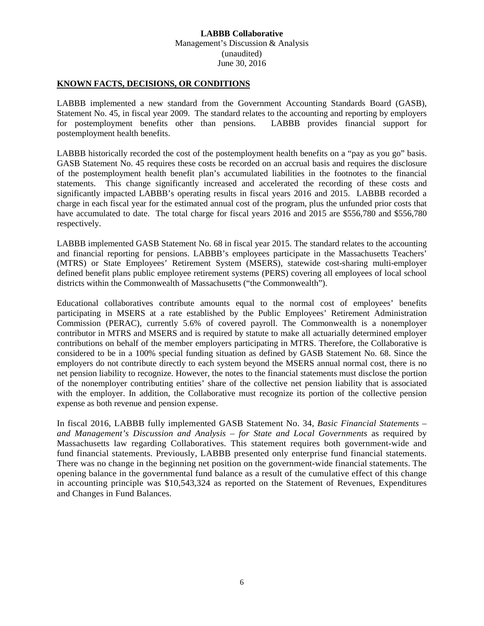#### **KNOWN FACTS, DECISIONS, OR CONDITIONS**

LABBB implemented a new standard from the Government Accounting Standards Board (GASB), Statement No. 45, in fiscal year 2009. The standard relates to the accounting and reporting by employers for postemployment benefits other than pensions. LABBB provides financial support for postemployment health benefits.

LABBB historically recorded the cost of the postemployment health benefits on a "pay as you go" basis. GASB Statement No. 45 requires these costs be recorded on an accrual basis and requires the disclosure of the postemployment health benefit plan's accumulated liabilities in the footnotes to the financial statements. This change significantly increased and accelerated the recording of these costs and significantly impacted LABBB's operating results in fiscal years 2016 and 2015. LABBB recorded a charge in each fiscal year for the estimated annual cost of the program, plus the unfunded prior costs that have accumulated to date. The total charge for fiscal years 2016 and 2015 are \$556,780 and \$556,780 respectively.

LABBB implemented GASB Statement No. 68 in fiscal year 2015. The standard relates to the accounting and financial reporting for pensions. LABBB's employees participate in the Massachusetts Teachers' (MTRS) or State Employees' Retirement System (MSERS), statewide cost-sharing multi-employer defined benefit plans public employee retirement systems (PERS) covering all employees of local school districts within the Commonwealth of Massachusetts ("the Commonwealth").

Educational collaboratives contribute amounts equal to the normal cost of employees' benefits participating in MSERS at a rate established by the Public Employees' Retirement Administration Commission (PERAC), currently 5.6% of covered payroll. The Commonwealth is a nonemployer contributor in MTRS and MSERS and is required by statute to make all actuarially determined employer contributions on behalf of the member employers participating in MTRS. Therefore, the Collaborative is considered to be in a 100% special funding situation as defined by GASB Statement No. 68. Since the employers do not contribute directly to each system beyond the MSERS annual normal cost, there is no net pension liability to recognize. However, the notes to the financial statements must disclose the portion of the nonemployer contributing entities' share of the collective net pension liability that is associated with the employer. In addition, the Collaborative must recognize its portion of the collective pension expense as both revenue and pension expense.

In fiscal 2016, LABBB fully implemented GASB Statement No. 34, *Basic Financial Statements – and Management's Discussion and Analysis – for State and Local Governments* as required by Massachusetts law regarding Collaboratives. This statement requires both government-wide and fund financial statements. Previously, LABBB presented only enterprise fund financial statements. There was no change in the beginning net position on the government-wide financial statements. The opening balance in the governmental fund balance as a result of the cumulative effect of this change in accounting principle was \$10,543,324 as reported on the Statement of Revenues, Expenditures and Changes in Fund Balances.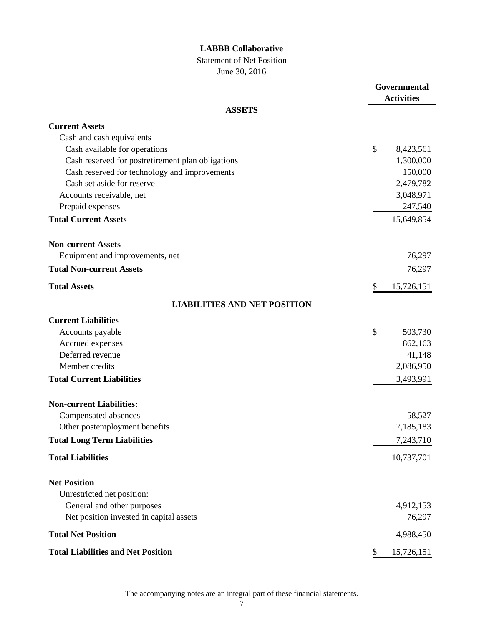Statement of Net Position

June 30, 2016

|                                                   | Governmental<br><b>Activities</b> |
|---------------------------------------------------|-----------------------------------|
| <b>ASSETS</b>                                     |                                   |
| <b>Current Assets</b>                             |                                   |
| Cash and cash equivalents                         |                                   |
| Cash available for operations                     | \$<br>8,423,561                   |
| Cash reserved for postretirement plan obligations | 1,300,000                         |
| Cash reserved for technology and improvements     | 150,000                           |
| Cash set aside for reserve                        | 2,479,782                         |
| Accounts receivable, net                          | 3,048,971                         |
| Prepaid expenses                                  | 247,540                           |
| <b>Total Current Assets</b>                       | 15,649,854                        |
| <b>Non-current Assets</b>                         |                                   |
| Equipment and improvements, net                   | 76,297                            |
| <b>Total Non-current Assets</b>                   | 76,297                            |
| <b>Total Assets</b>                               | \$<br>15,726,151                  |
| <b>LIABILITIES AND NET POSITION</b>               |                                   |
| <b>Current Liabilities</b>                        |                                   |
| Accounts payable                                  | \$<br>503,730                     |
| Accrued expenses                                  | 862,163                           |
| Deferred revenue                                  | 41,148                            |
| Member credits                                    | 2,086,950                         |
| <b>Total Current Liabilities</b>                  | 3,493,991                         |
| <b>Non-current Liabilities:</b>                   |                                   |
| Compensated absences                              | 58,527                            |
| Other postemployment benefits                     | 7,185,183                         |
| <b>Total Long Term Liabilities</b>                | 7,243,710                         |
| <b>Total Liabilities</b>                          | 10,737,701                        |
| <b>Net Position</b>                               |                                   |
| Unrestricted net position:                        |                                   |
| General and other purposes                        | 4,912,153                         |
| Net position invested in capital assets           | 76,297                            |
| <b>Total Net Position</b>                         | 4,988,450                         |
| <b>Total Liabilities and Net Position</b>         | \$<br>15,726,151                  |

The accompanying notes are an integral part of these financial statements.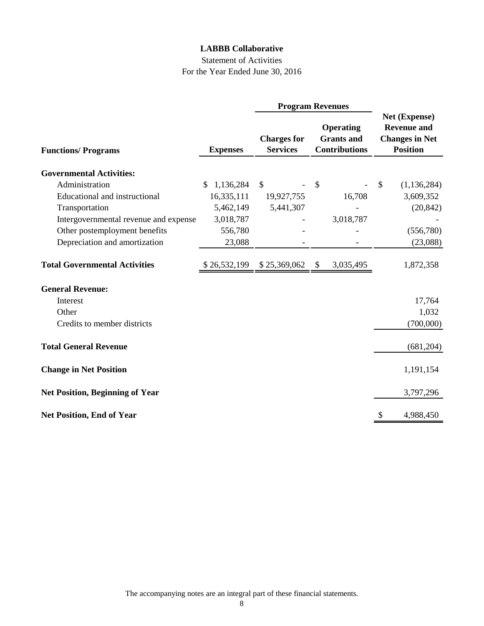# Statement of Activities For the Year Ended June 30, 2016

|                                        |                  |                                       | <b>Program Revenues</b>                                       |                                                                                 |
|----------------------------------------|------------------|---------------------------------------|---------------------------------------------------------------|---------------------------------------------------------------------------------|
| <b>Functions/Programs</b>              | <b>Expenses</b>  | <b>Charges for</b><br><b>Services</b> | <b>Operating</b><br><b>Grants</b> and<br><b>Contributions</b> | Net (Expense)<br><b>Revenue and</b><br><b>Changes in Net</b><br><b>Position</b> |
| <b>Governmental Activities:</b>        |                  |                                       |                                                               |                                                                                 |
| Administration                         |                  |                                       |                                                               |                                                                                 |
|                                        | 1,136,284<br>\$. | $\mathbb{S}$                          | $\boldsymbol{\mathsf{S}}$                                     | (1, 136, 284)<br>$\mathcal{S}$                                                  |
| Educational and instructional          | 16,335,111       | 19,927,755                            | 16,708                                                        | 3,609,352                                                                       |
| Transportation                         | 5,462,149        | 5,441,307                             |                                                               | (20, 842)                                                                       |
| Intergovernmental revenue and expense  | 3,018,787        |                                       | 3,018,787                                                     |                                                                                 |
| Other postemployment benefits          | 556,780          |                                       |                                                               | (556,780)                                                                       |
| Depreciation and amortization          | 23,088           |                                       |                                                               | (23,088)                                                                        |
| <b>Total Governmental Activities</b>   | \$26,532,199     | \$25,369,062                          | \$<br>3,035,495                                               | 1,872,358                                                                       |
| <b>General Revenue:</b>                |                  |                                       |                                                               |                                                                                 |
| Interest                               |                  |                                       |                                                               | 17,764                                                                          |
| Other                                  |                  |                                       |                                                               | 1,032                                                                           |
| Credits to member districts            |                  |                                       |                                                               | (700,000)                                                                       |
| <b>Total General Revenue</b>           |                  |                                       |                                                               | (681, 204)                                                                      |
| <b>Change in Net Position</b>          |                  |                                       |                                                               | 1,191,154                                                                       |
| <b>Net Position, Beginning of Year</b> |                  |                                       |                                                               | 3,797,296                                                                       |
| <b>Net Position, End of Year</b>       |                  |                                       |                                                               | 4,988,450<br>S                                                                  |

The accompanying notes are an integral part of these financial statements.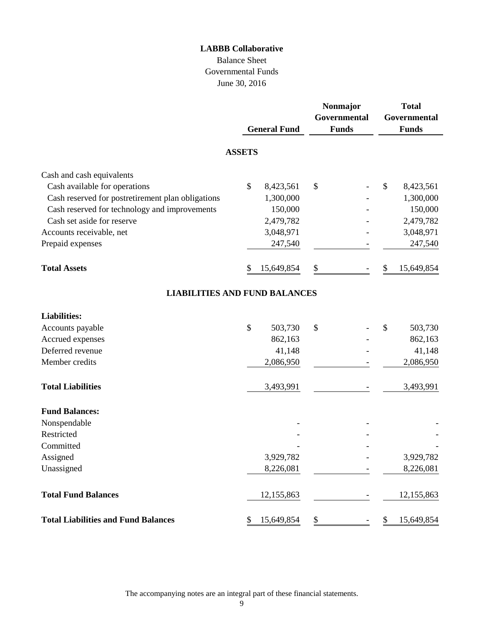# Balance Sheet Governmental Funds June 30, 2016

|                                                   |               | <b>General Fund</b> | Nonmajor<br>Governmental<br><b>Funds</b> |    | <b>Total</b><br>Governmental<br><b>Funds</b> |
|---------------------------------------------------|---------------|---------------------|------------------------------------------|----|----------------------------------------------|
|                                                   | <b>ASSETS</b> |                     |                                          |    |                                              |
| Cash and cash equivalents                         |               |                     |                                          |    |                                              |
| Cash available for operations                     | \$            | 8,423,561           | \$                                       | \$ | 8,423,561                                    |
| Cash reserved for postretirement plan obligations |               | 1,300,000           |                                          |    | 1,300,000                                    |
| Cash reserved for technology and improvements     |               | 150,000             |                                          |    | 150,000                                      |
| Cash set aside for reserve                        |               | 2,479,782           |                                          |    | 2,479,782                                    |
| Accounts receivable, net                          |               | 3,048,971           |                                          |    | 3,048,971                                    |
| Prepaid expenses                                  |               | 247,540             |                                          |    | 247,540                                      |
| <b>Total Assets</b>                               | \$            | 15,649,854          | \$                                       | \$ | 15,649,854                                   |
| <b>LIABILITIES AND FUND BALANCES</b>              |               |                     |                                          |    |                                              |
| <b>Liabilities:</b>                               |               |                     |                                          |    |                                              |
| Accounts payable                                  | \$            | 503,730             | \$                                       | \$ | 503,730                                      |
| Accrued expenses                                  |               | 862,163             |                                          |    | 862,163                                      |
| Deferred revenue                                  |               | 41,148              |                                          |    | 41,148                                       |
| Member credits                                    |               | 2,086,950           |                                          |    | 2,086,950                                    |
| <b>Total Liabilities</b>                          |               | 3,493,991           |                                          |    | 3,493,991                                    |
| <b>Fund Balances:</b>                             |               |                     |                                          |    |                                              |
| Nonspendable                                      |               |                     |                                          |    |                                              |
| Restricted                                        |               |                     |                                          |    |                                              |
| Committed                                         |               |                     |                                          |    |                                              |
| Assigned                                          |               | 3,929,782           |                                          |    | 3,929,782                                    |
| Unassigned                                        |               | 8,226,081           |                                          |    | 8,226,081                                    |
| <b>Total Fund Balances</b>                        |               | 12,155,863          |                                          |    | 12,155,863                                   |
| <b>Total Liabilities and Fund Balances</b>        | \$            | 15,649,854          | \$                                       | \$ | 15,649,854                                   |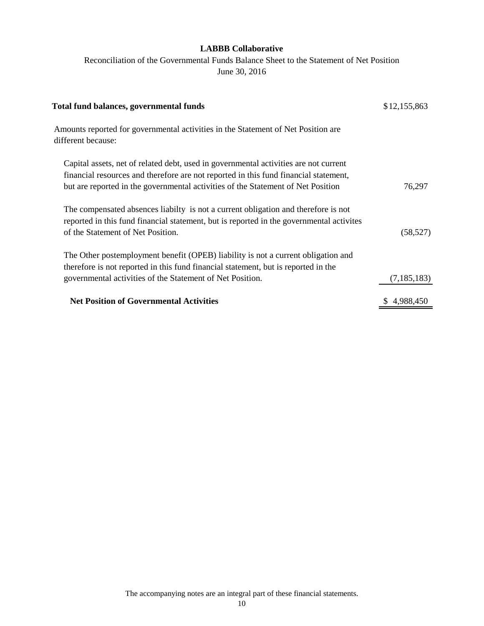Reconciliation of the Governmental Funds Balance Sheet to the Statement of Net Position June 30, 2016

| <b>Total fund balances, governmental funds</b>                                                                                                                                                                                                                   | \$12,155,863  |
|------------------------------------------------------------------------------------------------------------------------------------------------------------------------------------------------------------------------------------------------------------------|---------------|
| Amounts reported for governmental activities in the Statement of Net Position are<br>different because:                                                                                                                                                          |               |
| Capital assets, net of related debt, used in governmental activities are not current<br>financial resources and therefore are not reported in this fund financial statement,<br>but are reported in the governmental activities of the Statement of Net Position | 76,297        |
| The compensated absences liabilty is not a current obligation and therefore is not<br>reported in this fund financial statement, but is reported in the governmental activities<br>of the Statement of Net Position.                                             | (58, 527)     |
| The Other postemployment benefit (OPEB) liability is not a current obligation and<br>therefore is not reported in this fund financial statement, but is reported in the<br>governmental activities of the Statement of Net Position.                             | (7, 185, 183) |
| <b>Net Position of Governmental Activities</b>                                                                                                                                                                                                                   | 4,988,450     |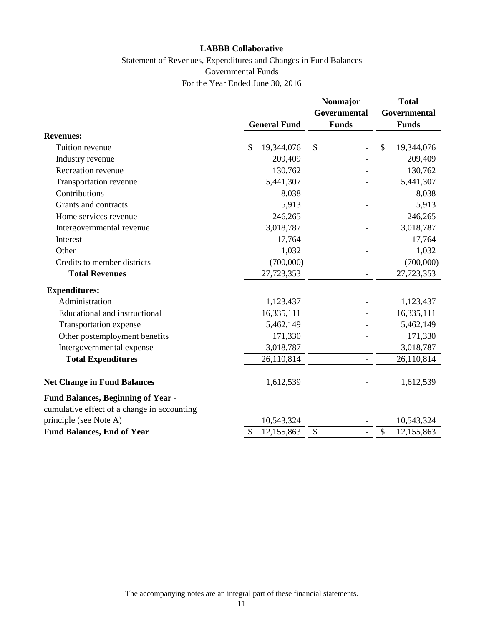# Statement of Revenues, Expenditures and Changes in Fund Balances Governmental Funds For the Year Ended June 30, 2016

|                                                                                          |                             | <b>Nonmajor</b>     | Total                      |
|------------------------------------------------------------------------------------------|-----------------------------|---------------------|----------------------------|
|                                                                                          |                             | <b>Governmental</b> | Governmental               |
|                                                                                          | <b>General Fund</b>         | <b>Funds</b>        | <b>Funds</b>               |
| <b>Revenues:</b>                                                                         |                             |                     |                            |
| Tuition revenue                                                                          | $\mathcal{S}$<br>19,344,076 | \$                  | $\mathbb{S}$<br>19,344,076 |
| Industry revenue                                                                         | 209,409                     |                     | 209,409                    |
| Recreation revenue                                                                       | 130,762                     |                     | 130,762                    |
| Transportation revenue                                                                   | 5,441,307                   |                     | 5,441,307                  |
| Contributions                                                                            | 8,038                       |                     | 8,038                      |
| Grants and contracts                                                                     | 5,913                       |                     | 5,913                      |
| Home services revenue                                                                    | 246,265                     |                     | 246,265                    |
| Intergovernmental revenue                                                                | 3,018,787                   |                     | 3,018,787                  |
| Interest                                                                                 | 17,764                      |                     | 17,764                     |
| Other                                                                                    | 1,032                       |                     | 1,032                      |
| Credits to member districts                                                              | (700,000)                   |                     | (700,000)                  |
| <b>Total Revenues</b>                                                                    | 27,723,353                  |                     | 27,723,353                 |
| <b>Expenditures:</b>                                                                     |                             |                     |                            |
| Administration                                                                           | 1,123,437                   |                     | 1,123,437                  |
| Educational and instructional                                                            | 16,335,111                  |                     | 16,335,111                 |
| Transportation expense                                                                   | 5,462,149                   |                     | 5,462,149                  |
| Other postemployment benefits                                                            | 171,330                     |                     | 171,330                    |
| Intergovernmental expense                                                                | 3,018,787                   |                     | 3,018,787                  |
| <b>Total Expenditures</b>                                                                | 26,110,814                  |                     | 26,110,814                 |
| <b>Net Change in Fund Balances</b>                                                       | 1,612,539                   |                     | 1,612,539                  |
| <b>Fund Balances, Beginning of Year -</b><br>cumulative effect of a change in accounting |                             |                     |                            |
| principle (see Note A)                                                                   | 10,543,324                  |                     | 10,543,324                 |
| <b>Fund Balances, End of Year</b>                                                        | 12,155,863<br>\$            | \$                  | \$<br>12,155,863           |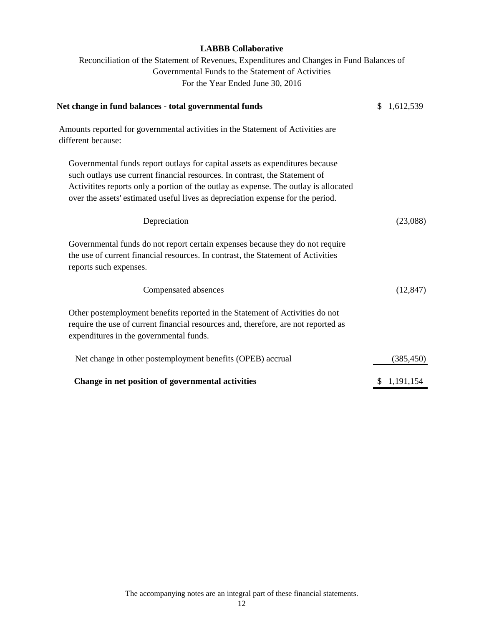Reconciliation of the Statement of Revenues, Expenditures and Changes in Fund Balances of Governmental Funds to the Statement of Activities For the Year Ended June 30, 2016

| Net change in fund balances - total governmental funds                                                                                                                                                                                                                                                                                  | \$<br>1,612,539 |
|-----------------------------------------------------------------------------------------------------------------------------------------------------------------------------------------------------------------------------------------------------------------------------------------------------------------------------------------|-----------------|
| Amounts reported for governmental activities in the Statement of Activities are<br>different because:                                                                                                                                                                                                                                   |                 |
| Governmental funds report outlays for capital assets as expenditures because<br>such outlays use current financial resources. In contrast, the Statement of<br>Activitities reports only a portion of the outlay as expense. The outlay is allocated<br>over the assets' estimated useful lives as depreciation expense for the period. |                 |
| Depreciation                                                                                                                                                                                                                                                                                                                            | (23,088)        |
| Governmental funds do not report certain expenses because they do not require<br>the use of current financial resources. In contrast, the Statement of Activities<br>reports such expenses.                                                                                                                                             |                 |
| Compensated absences                                                                                                                                                                                                                                                                                                                    | (12, 847)       |
| Other postemployment benefits reported in the Statement of Activities do not<br>require the use of current financial resources and, therefore, are not reported as<br>expenditures in the governmental funds.                                                                                                                           |                 |
| Net change in other postemployment benefits (OPEB) accrual                                                                                                                                                                                                                                                                              | (385, 450)      |
| Change in net position of governmental activities                                                                                                                                                                                                                                                                                       | \$1,191,154     |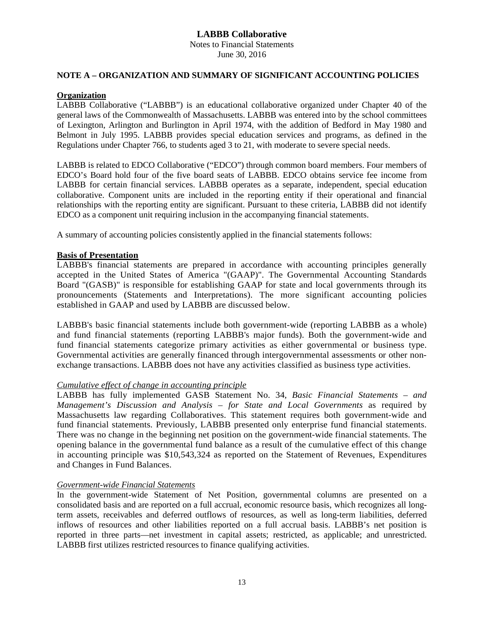# **LABBB Collaborative** Notes to Financial Statements

June 30, 2016

## **NOTE A – ORGANIZATION AND SUMMARY OF SIGNIFICANT ACCOUNTING POLICIES**

## **Organization**

LABBB Collaborative ("LABBB") is an educational collaborative organized under Chapter 40 of the general laws of the Commonwealth of Massachusetts. LABBB was entered into by the school committees of Lexington, Arlington and Burlington in April 1974, with the addition of Bedford in May 1980 and Belmont in July 1995. LABBB provides special education services and programs, as defined in the Regulations under Chapter 766, to students aged 3 to 21, with moderate to severe special needs.

LABBB is related to EDCO Collaborative ("EDCO") through common board members. Four members of EDCO's Board hold four of the five board seats of LABBB. EDCO obtains service fee income from LABBB for certain financial services. LABBB operates as a separate, independent, special education collaborative. Component units are included in the reporting entity if their operational and financial relationships with the reporting entity are significant. Pursuant to these criteria, LABBB did not identify EDCO as a component unit requiring inclusion in the accompanying financial statements.

A summary of accounting policies consistently applied in the financial statements follows:

# **Basis of Presentation**

LABBB's financial statements are prepared in accordance with accounting principles generally accepted in the United States of America "(GAAP)". The Governmental Accounting Standards Board "(GASB)" is responsible for establishing GAAP for state and local governments through its pronouncements (Statements and Interpretations). The more significant accounting policies established in GAAP and used by LABBB are discussed below.

LABBB's basic financial statements include both government-wide (reporting LABBB as a whole) and fund financial statements (reporting LABBB's major funds). Both the government-wide and fund financial statements categorize primary activities as either governmental or business type. Governmental activities are generally financed through intergovernmental assessments or other nonexchange transactions. LABBB does not have any activities classified as business type activities.

## *Cumulative effect of change in accounting principle*

LABBB has fully implemented GASB Statement No. 34, *Basic Financial Statements – and Management's Discussion and Analysis – for State and Local Governments* as required by Massachusetts law regarding Collaboratives. This statement requires both government-wide and fund financial statements. Previously, LABBB presented only enterprise fund financial statements. There was no change in the beginning net position on the government-wide financial statements. The opening balance in the governmental fund balance as a result of the cumulative effect of this change in accounting principle was \$10,543,324 as reported on the Statement of Revenues, Expenditures and Changes in Fund Balances.

## *Government-wide Financial Statements*

In the government-wide Statement of Net Position, governmental columns are presented on a consolidated basis and are reported on a full accrual, economic resource basis, which recognizes all longterm assets, receivables and deferred outflows of resources, as well as long-term liabilities, deferred inflows of resources and other liabilities reported on a full accrual basis. LABBB's net position is reported in three parts—net investment in capital assets; restricted, as applicable; and unrestricted. LABBB first utilizes restricted resources to finance qualifying activities.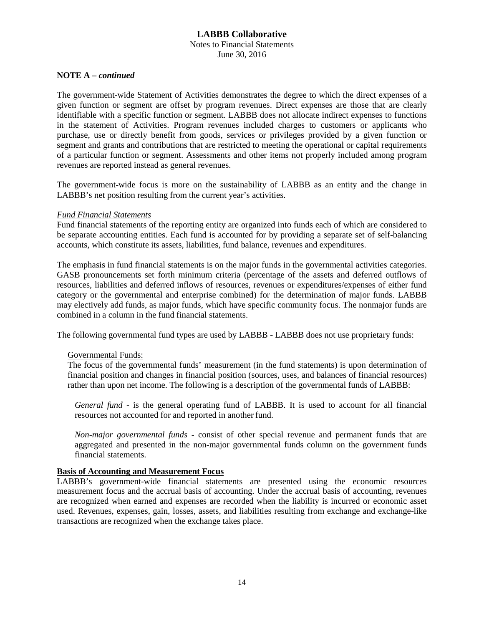Notes to Financial Statements June 30, 2016

## **NOTE A –** *continued*

The government-wide Statement of Activities demonstrates the degree to which the direct expenses of a given function or segment are offset by program revenues. Direct expenses are those that are clearly identifiable with a specific function or segment. LABBB does not allocate indirect expenses to functions in the statement of Activities. Program revenues included charges to customers or applicants who purchase, use or directly benefit from goods, services or privileges provided by a given function or segment and grants and contributions that are restricted to meeting the operational or capital requirements of a particular function or segment. Assessments and other items not properly included among program revenues are reported instead as general revenues.

The government-wide focus is more on the sustainability of LABBB as an entity and the change in LABBB's net position resulting from the current year's activities.

#### *Fund Financial Statements*

Fund financial statements of the reporting entity are organized into funds each of which are considered to be separate accounting entities. Each fund is accounted for by providing a separate set of self-balancing accounts, which constitute its assets, liabilities, fund balance, revenues and expenditures.

The emphasis in fund financial statements is on the major funds in the governmental activities categories. GASB pronouncements set forth minimum criteria (percentage of the assets and deferred outflows of resources, liabilities and deferred inflows of resources, revenues or expenditures/expenses of either fund category or the governmental and enterprise combined) for the determination of major funds. LABBB may electively add funds, as major funds, which have specific community focus. The nonmajor funds are combined in a column in the fund financial statements.

The following governmental fund types are used by LABBB - LABBB does not use proprietary funds:

## Governmental Funds:

The focus of the governmental funds' measurement (in the fund statements) is upon determination of financial position and changes in financial position (sources, uses, and balances of financial resources) rather than upon net income. The following is a description of the governmental funds of LABBB:

*General fund* - is the general operating fund of LABBB. It is used to account for all financial resources not accounted for and reported in another fund.

*Non-major governmental funds* - consist of other special revenue and permanent funds that are aggregated and presented in the non-major governmental funds column on the government funds financial statements.

## **Basis of Accounting and Measurement Focus**

LABBB's government-wide financial statements are presented using the economic resources measurement focus and the accrual basis of accounting. Under the accrual basis of accounting, revenues are recognized when earned and expenses are recorded when the liability is incurred or economic asset used. Revenues, expenses, gain, losses, assets, and liabilities resulting from exchange and exchange-like transactions are recognized when the exchange takes place.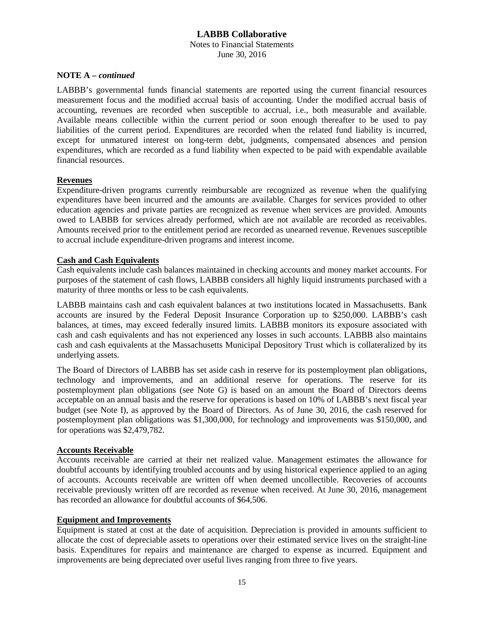#### **LABBB Collaborative** Notes to Financial Statements June 30, 2016

# **NOTE A –** *continued*

LABBB's governmental funds financial statements are reported using the current financial resources measurement focus and the modified accrual basis of accounting. Under the modified accrual basis of accounting, revenues are recorded when susceptible to accrual, i.e., both measurable and available. Available means collectible within the current period or soon enough thereafter to be used to pay liabilities of the current period. Expenditures are recorded when the related fund liability is incurred, except for unmatured interest on long-term debt, judgments, compensated absences and pension expenditures, which are recorded as a fund liability when expected to be paid with expendable available financial resources.

#### **Revenues**

Expenditure-driven programs currently reimbursable are recognized as revenue when the qualifying expenditures have been incurred and the amounts are available. Charges for services provided to other education agencies and private parties are recognized as revenue when services are provided. Amounts owed to LABBB for services already performed, which are not available are recorded as receivables. Amounts received prior to the entitlement period are recorded as unearned revenue. Revenues susceptible to accrual include expenditure-driven programs and interest income.

#### **Cash and Cash Equivalents**

Cash equivalents include cash balances maintained in checking accounts and money market accounts. For purposes of the statement of cash flows, LABBB considers all highly liquid instruments purchased with a maturity of three months or less to be cash equivalents.

LABBB maintains cash and cash equivalent balances at two institutions located in Massachusetts. Bank accounts are insured by the Federal Deposit Insurance Corporation up to \$250,000. LABBB's cash balances, at times, may exceed federally insured limits. LABBB monitors its exposure associated with cash and cash equivalents and has not experienced any losses in such accounts. LABBB also maintains cash and cash equivalents at the Massachusetts Municipal Depository Trust which is collateralized by its underlying assets.

The Board of Directors of LABBB has set aside cash in reserve for its postemployment plan obligations, technology and improvements, and an additional reserve for operations. The reserve for its postemployment plan obligations (see Note G) is based on an amount the Board of Directors deems acceptable on an annual basis and the reserve for operations is based on 10% of LABBB's next fiscal year budget (see Note I), as approved by the Board of Directors. As of June 30, 2016, the cash reserved for postemployment plan obligations was \$1,300,000, for technology and improvements was \$150,000, and for operations was \$2,479,782.

#### **Accounts Receivable**

Accounts receivable are carried at their net realized value. Management estimates the allowance for doubtful accounts by identifying troubled accounts and by using historical experience applied to an aging of accounts. Accounts receivable are written off when deemed uncollectible. Recoveries of accounts receivable previously written off are recorded as revenue when received. At June 30, 2016, management has recorded an allowance for doubtful accounts of \$64,506.

#### **Equipment and Improvements**

Equipment is stated at cost at the date of acquisition. Depreciation is provided in amounts sufficient to allocate the cost of depreciable assets to operations over their estimated service lives on the straight-line basis. Expenditures for repairs and maintenance are charged to expense as incurred. Equipment and improvements are being depreciated over useful lives ranging from three to five years.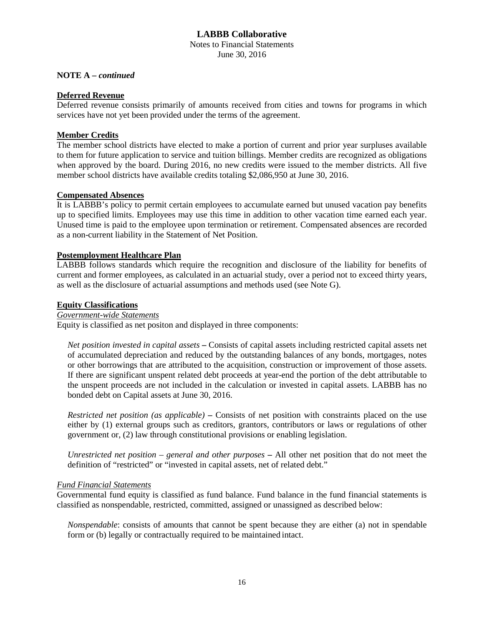Notes to Financial Statements June 30, 2016

#### **NOTE A –** *continued*

## **Deferred Revenue**

Deferred revenue consists primarily of amounts received from cities and towns for programs in which services have not yet been provided under the terms of the agreement.

#### **Member Credits**

The member school districts have elected to make a portion of current and prior year surpluses available to them for future application to service and tuition billings. Member credits are recognized as obligations when approved by the board. During 2016, no new credits were issued to the member districts. All five member school districts have available credits totaling \$2,086,950 at June 30, 2016.

#### **Compensated Absences**

It is LABBB's policy to permit certain employees to accumulate earned but unused vacation pay benefits up to specified limits. Employees may use this time in addition to other vacation time earned each year. Unused time is paid to the employee upon termination or retirement. Compensated absences are recorded as a non-current liability in the Statement of Net Position.

#### **Postemployment Healthcare Plan**

LABBB follows standards which require the recognition and disclosure of the liability for benefits of current and former employees, as calculated in an actuarial study, over a period not to exceed thirty years, as well as the disclosure of actuarial assumptions and methods used (see Note G).

#### **Equity Classifications**

#### *Government-wide Statements*

Equity is classified as net positon and displayed in three components:

*Net position invested in capital assets* **–** Consists of capital assets including restricted capital assets net of accumulated depreciation and reduced by the outstanding balances of any bonds, mortgages, notes or other borrowings that are attributed to the acquisition, construction or improvement of those assets. If there are significant unspent related debt proceeds at year-end the portion of the debt attributable to the unspent proceeds are not included in the calculation or invested in capital assets. LABBB has no bonded debt on Capital assets at June 30, 2016.

*Restricted net position (as applicable)* **–** Consists of net position with constraints placed on the use either by (1) external groups such as creditors, grantors, contributors or laws or regulations of other government or, (2) law through constitutional provisions or enabling legislation.

*Unrestricted net position – general and other purposes* **–** All other net position that do not meet the definition of "restricted" or "invested in capital assets, net of related debt."

## *Fund Financial Statements*

Governmental fund equity is classified as fund balance. Fund balance in the fund financial statements is classified as nonspendable, restricted, committed, assigned or unassigned as described below:

*Nonspendable*: consists of amounts that cannot be spent because they are either (a) not in spendable form or (b) legally or contractually required to be maintained intact.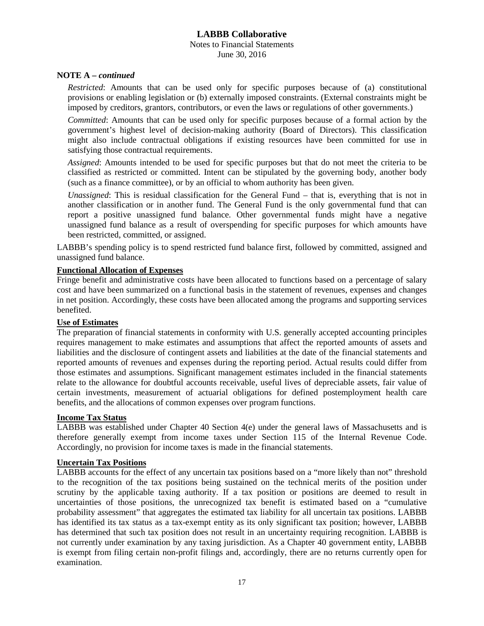# **LABBB Collaborative** Notes to Financial Statements June 30, 2016

#### **NOTE A –** *continued*

*Restricted*: Amounts that can be used only for specific purposes because of (a) constitutional provisions or enabling legislation or (b) externally imposed constraints. (External constraints might be imposed by creditors, grantors, contributors, or even the laws or regulations of other governments.)

*Committed*: Amounts that can be used only for specific purposes because of a formal action by the government's highest level of decision-making authority (Board of Directors). This classification might also include contractual obligations if existing resources have been committed for use in satisfying those contractual requirements.

*Assigned*: Amounts intended to be used for specific purposes but that do not meet the criteria to be classified as restricted or committed. Intent can be stipulated by the governing body, another body (such as a finance committee), or by an official to whom authority has been given.

*Unassigned*: This is residual classification for the General Fund – that is, everything that is not in another classification or in another fund. The General Fund is the only governmental fund that can report a positive unassigned fund balance. Other governmental funds might have a negative unassigned fund balance as a result of overspending for specific purposes for which amounts have been restricted, committed, or assigned.

LABBB's spending policy is to spend restricted fund balance first, followed by committed, assigned and unassigned fund balance.

#### **Functional Allocation of Expenses**

Fringe benefit and administrative costs have been allocated to functions based on a percentage of salary cost and have been summarized on a functional basis in the statement of revenues, expenses and changes in net position. Accordingly, these costs have been allocated among the programs and supporting services benefited.

#### **Use of Estimates**

The preparation of financial statements in conformity with U.S. generally accepted accounting principles requires management to make estimates and assumptions that affect the reported amounts of assets and liabilities and the disclosure of contingent assets and liabilities at the date of the financial statements and reported amounts of revenues and expenses during the reporting period. Actual results could differ from those estimates and assumptions. Significant management estimates included in the financial statements relate to the allowance for doubtful accounts receivable, useful lives of depreciable assets, fair value of certain investments, measurement of actuarial obligations for defined postemployment health care benefits, and the allocations of common expenses over program functions.

#### **Income Tax Status**

LABBB was established under Chapter 40 Section 4(e) under the general laws of Massachusetts and is therefore generally exempt from income taxes under Section 115 of the Internal Revenue Code. Accordingly, no provision for income taxes is made in the financial statements.

#### **Uncertain Tax Positions**

LABBB accounts for the effect of any uncertain tax positions based on a "more likely than not" threshold to the recognition of the tax positions being sustained on the technical merits of the position under scrutiny by the applicable taxing authority. If a tax position or positions are deemed to result in uncertainties of those positions, the unrecognized tax benefit is estimated based on a "cumulative probability assessment" that aggregates the estimated tax liability for all uncertain tax positions. LABBB has identified its tax status as a tax-exempt entity as its only significant tax position; however, LABBB has determined that such tax position does not result in an uncertainty requiring recognition. LABBB is not currently under examination by any taxing jurisdiction. As a Chapter 40 government entity, LABBB is exempt from filing certain non-profit filings and, accordingly, there are no returns currently open for examination.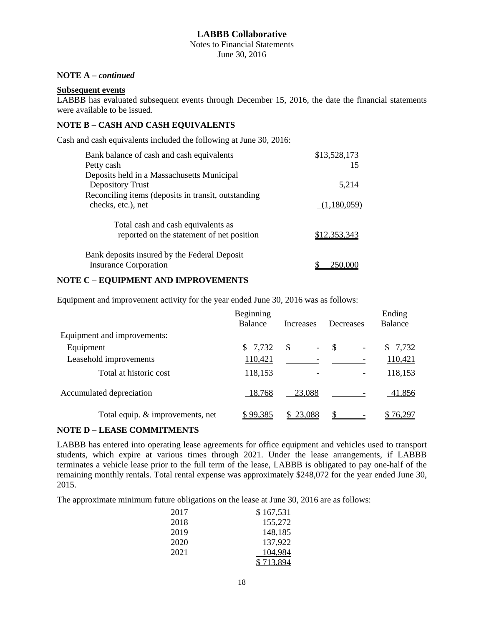Notes to Financial Statements June 30, 2016

# **NOTE A –** *continued*

#### **Subsequent events**

LABBB has evaluated subsequent events through December 15, 2016, the date the financial statements were available to be issued.

#### **NOTE B – CASH AND CASH EQUIVALENTS**

Cash and cash equivalents included the following at June 30, 2016:

| Bank balance of cash and cash equivalents                                       | \$13,528,173 |
|---------------------------------------------------------------------------------|--------------|
| Petty cash                                                                      | 15           |
| Deposits held in a Massachusetts Municipal                                      |              |
| Depository Trust                                                                | 5,214        |
| Reconciling items (deposits in transit, outstanding                             |              |
| checks, etc.), net                                                              | (1,180,059)  |
| Total cash and cash equivalents as<br>reported on the statement of net position | \$12,353,343 |
| Bank deposits insured by the Federal Deposit<br><b>Insurance Corporation</b>    |              |

#### **NOTE C – EQUIPMENT AND IMPROVEMENTS**

Equipment and improvement activity for the year ended June 30, 2016 was as follows:

|                                  | Beginning<br>Balance | Increases          | Decreases                      | Ending<br>Balance |
|----------------------------------|----------------------|--------------------|--------------------------------|-------------------|
| Equipment and improvements:      |                      |                    |                                |                   |
| Equipment                        | \$7,732              | $\mathcal{S}$<br>- | S,<br>$\overline{\phantom{a}}$ | \$7,732           |
| Leasehold improvements           | 110,421              |                    |                                | 110,421           |
| Total at historic cost           | 118,153              |                    |                                | 118,153           |
| Accumulated depreciation         | 18,768               | 23,088             |                                | 41,856            |
| Total equip. & improvements, net | \$99,385             | \$23,088           |                                | \$76.297          |

#### **NOTE D – LEASE COMMITMENTS**

LABBB has entered into operating lease agreements for office equipment and vehicles used to transport students, which expire at various times through 2021. Under the lease arrangements, if LABBB terminates a vehicle lease prior to the full term of the lease, LABBB is obligated to pay one-half of the remaining monthly rentals. Total rental expense was approximately \$248,072 for the year ended June 30, 2015.

The approximate minimum future obligations on the lease at June 30, 2016 are as follows:

| 2017 | \$167,531 |
|------|-----------|
| 2018 | 155,272   |
| 2019 | 148,185   |
| 2020 | 137,922   |
| 2021 | 104,984   |
|      | \$713,894 |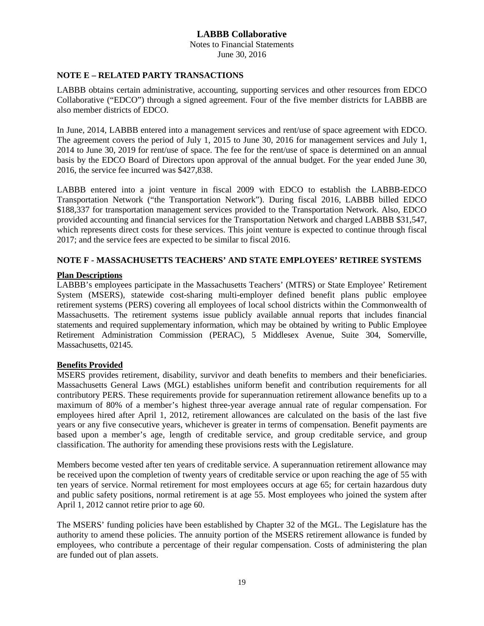Notes to Financial Statements June 30, 2016

#### **NOTE E – RELATED PARTY TRANSACTIONS**

LABBB obtains certain administrative, accounting, supporting services and other resources from EDCO Collaborative ("EDCO") through a signed agreement. Four of the five member districts for LABBB are also member districts of EDCO.

In June, 2014, LABBB entered into a management services and rent/use of space agreement with EDCO. The agreement covers the period of July 1, 2015 to June 30, 2016 for management services and July 1, 2014 to June 30, 2019 for rent/use of space. The fee for the rent/use of space is determined on an annual basis by the EDCO Board of Directors upon approval of the annual budget. For the year ended June 30, 2016, the service fee incurred was \$427,838.

LABBB entered into a joint venture in fiscal 2009 with EDCO to establish the LABBB-EDCO Transportation Network ("the Transportation Network"). During fiscal 2016, LABBB billed EDCO \$188,337 for transportation management services provided to the Transportation Network. Also, EDCO provided accounting and financial services for the Transportation Network and charged LABBB \$31,547, which represents direct costs for these services. This joint venture is expected to continue through fiscal 2017; and the service fees are expected to be similar to fiscal 2016.

## **NOTE F - MASSACHUSETTS TEACHERS' AND STATE EMPLOYEES' RETIREE SYSTEMS**

## **Plan Descriptions**

LABBB's employees participate in the Massachusetts Teachers' (MTRS) or State Employee' Retirement System (MSERS), statewide cost-sharing multi-employer defined benefit plans public employee retirement systems (PERS) covering all employees of local school districts within the Commonwealth of Massachusetts. The retirement systems issue publicly available annual reports that includes financial statements and required supplementary information, which may be obtained by writing to Public Employee Retirement Administration Commission (PERAC), 5 Middlesex Avenue, Suite 304, Somerville, Massachusetts, 02145.

## **Benefits Provided**

MSERS provides retirement, disability, survivor and death benefits to members and their beneficiaries. Massachusetts General Laws (MGL) establishes uniform benefit and contribution requirements for all contributory PERS. These requirements provide for superannuation retirement allowance benefits up to a maximum of 80% of a member's highest three-year average annual rate of regular compensation. For employees hired after April 1, 2012, retirement allowances are calculated on the basis of the last five years or any five consecutive years, whichever is greater in terms of compensation. Benefit payments are based upon a member's age, length of creditable service, and group creditable service, and group classification. The authority for amending these provisions rests with the Legislature.

Members become vested after ten years of creditable service. A superannuation retirement allowance may be received upon the completion of twenty years of creditable service or upon reaching the age of 55 with ten years of service. Normal retirement for most employees occurs at age 65; for certain hazardous duty and public safety positions, normal retirement is at age 55. Most employees who joined the system after April 1, 2012 cannot retire prior to age 60.

The MSERS' funding policies have been established by Chapter 32 of the MGL. The Legislature has the authority to amend these policies. The annuity portion of the MSERS retirement allowance is funded by employees, who contribute a percentage of their regular compensation. Costs of administering the plan are funded out of plan assets.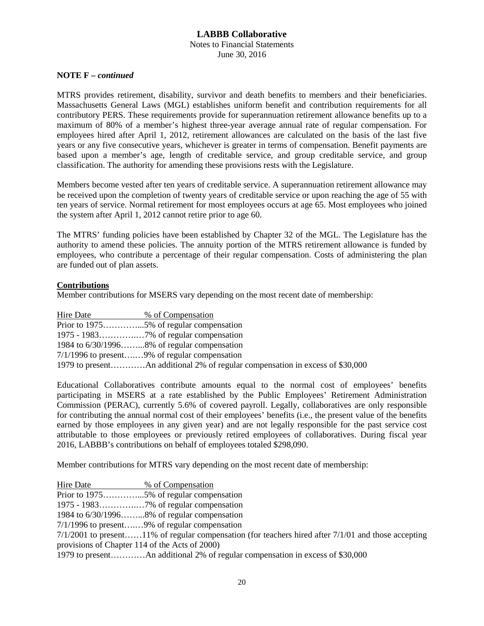# **LABBB Collaborative** Notes to Financial Statements

June 30, 2016

## **NOTE F –** *continued*

MTRS provides retirement, disability, survivor and death benefits to members and their beneficiaries. Massachusetts General Laws (MGL) establishes uniform benefit and contribution requirements for all contributory PERS. These requirements provide for superannuation retirement allowance benefits up to a maximum of 80% of a member's highest three-year average annual rate of regular compensation. For employees hired after April 1, 2012, retirement allowances are calculated on the basis of the last five years or any five consecutive years, whichever is greater in terms of compensation. Benefit payments are based upon a member's age, length of creditable service, and group creditable service, and group classification. The authority for amending these provisions rests with the Legislature.

Members become vested after ten years of creditable service. A superannuation retirement allowance may be received upon the completion of twenty years of creditable service or upon reaching the age of 55 with ten years of service. Normal retirement for most employees occurs at age 65. Most employees who joined the system after April 1, 2012 cannot retire prior to age 60.

The MTRS' funding policies have been established by Chapter 32 of the MGL. The Legislature has the authority to amend these policies. The annuity portion of the MTRS retirement allowance is funded by employees, who contribute a percentage of their regular compensation. Costs of administering the plan are funded out of plan assets.

# **Contributions**

Member contributions for MSERS vary depending on the most recent date of membership:

| Hire Date | % of Compensation                                                             |
|-----------|-------------------------------------------------------------------------------|
|           |                                                                               |
|           |                                                                               |
|           | 1984 to $6/30/1996$ 8% of regular compensation                                |
|           | $7/1/1996$ to present9% of regular compensation                               |
|           | 1979 to presentAn additional 2% of regular compensation in excess of \$30,000 |

Educational Collaboratives contribute amounts equal to the normal cost of employees' benefits participating in MSERS at a rate established by the Public Employees' Retirement Administration Commission (PERAC), currently 5.6% of covered payroll. Legally, collaboratives are only responsible for contributing the annual normal cost of their employees' benefits (i.e., the present value of the benefits earned by those employees in any given year) and are not legally responsible for the past service cost attributable to those employees or previously retired employees of collaboratives. During fiscal year 2016, LABBB's contributions on behalf of employees totaled \$298,090.

Member contributions for MTRS vary depending on the most recent date of membership:

| Hire Date                                      | % of Compensation                                                                                       |
|------------------------------------------------|---------------------------------------------------------------------------------------------------------|
|                                                |                                                                                                         |
|                                                |                                                                                                         |
|                                                | 1984 to $6/30/1996$ 8% of regular compensation                                                          |
|                                                | $7/1/1996$ to present9% of regular compensation                                                         |
|                                                | $7/1/2001$ to present11% of regular compensation (for teachers hired after $7/1/01$ and those accepting |
| provisions of Chapter 114 of the Acts of 2000) |                                                                                                         |
|                                                |                                                                                                         |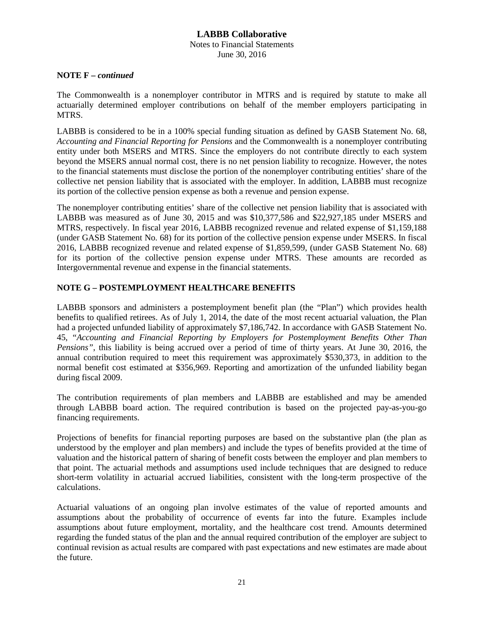#### **LABBB Collaborative** Notes to Financial Statements June 30, 2016

#### **NOTE F –** *continued*

The Commonwealth is a nonemployer contributor in MTRS and is required by statute to make all actuarially determined employer contributions on behalf of the member employers participating in MTRS.

LABBB is considered to be in a 100% special funding situation as defined by GASB Statement No. 68, *Accounting and Financial Reporting for Pensions* and the Commonwealth is a nonemployer contributing entity under both MSERS and MTRS. Since the employers do not contribute directly to each system beyond the MSERS annual normal cost, there is no net pension liability to recognize. However, the notes to the financial statements must disclose the portion of the nonemployer contributing entities' share of the collective net pension liability that is associated with the employer. In addition, LABBB must recognize its portion of the collective pension expense as both a revenue and pension expense.

The nonemployer contributing entities' share of the collective net pension liability that is associated with LABBB was measured as of June 30, 2015 and was \$10,377,586 and \$22,927,185 under MSERS and MTRS, respectively. In fiscal year 2016, LABBB recognized revenue and related expense of \$1,159,188 (under GASB Statement No. 68) for its portion of the collective pension expense under MSERS. In fiscal 2016, LABBB recognized revenue and related expense of \$1,859,599, (under GASB Statement No. 68) for its portion of the collective pension expense under MTRS. These amounts are recorded as Intergovernmental revenue and expense in the financial statements.

# **NOTE G – POSTEMPLOYMENT HEALTHCARE BENEFITS**

LABBB sponsors and administers a postemployment benefit plan (the "Plan") which provides health benefits to qualified retirees. As of July 1, 2014, the date of the most recent actuarial valuation, the Plan had a projected unfunded liability of approximately \$7,186,742. In accordance with GASB Statement No. 45, "*Accounting and Financial Reporting by Employers for Postemployment Benefits Other Than Pensions"*, this liability is being accrued over a period of time of thirty years. At June 30, 2016, the annual contribution required to meet this requirement was approximately \$530,373, in addition to the normal benefit cost estimated at \$356,969. Reporting and amortization of the unfunded liability began during fiscal 2009.

The contribution requirements of plan members and LABBB are established and may be amended through LABBB board action. The required contribution is based on the projected pay-as-you-go financing requirements.

Projections of benefits for financial reporting purposes are based on the substantive plan (the plan as understood by the employer and plan members) and include the types of benefits provided at the time of valuation and the historical pattern of sharing of benefit costs between the employer and plan members to that point. The actuarial methods and assumptions used include techniques that are designed to reduce short-term volatility in actuarial accrued liabilities, consistent with the long-term prospective of the calculations.

Actuarial valuations of an ongoing plan involve estimates of the value of reported amounts and assumptions about the probability of occurrence of events far into the future. Examples include assumptions about future employment, mortality, and the healthcare cost trend. Amounts determined regarding the funded status of the plan and the annual required contribution of the employer are subject to continual revision as actual results are compared with past expectations and new estimates are made about the future.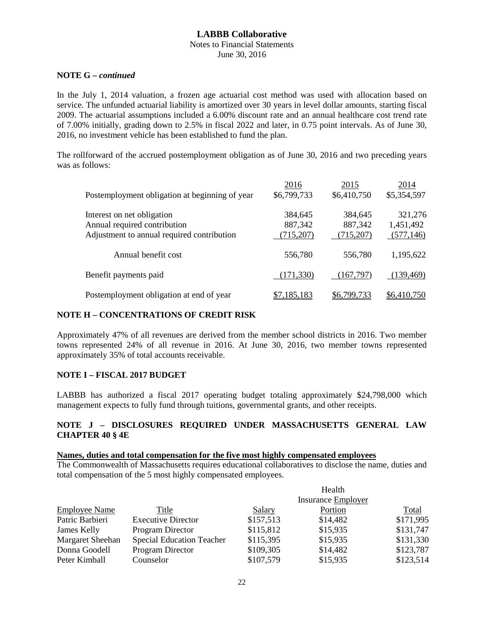#### Notes to Financial Statements June 30, 2016

#### **NOTE G –** *continued*

In the July 1, 2014 valuation, a frozen age actuarial cost method was used with allocation based on service. The unfunded actuarial liability is amortized over 30 years in level dollar amounts, starting fiscal 2009. The actuarial assumptions included a 6.00% discount rate and an annual healthcare cost trend rate of 7.00% initially, grading down to 2.5% in fiscal 2022 and later, in 0.75 point intervals. As of June 30, 2016, no investment vehicle has been established to fund the plan.

The rollforward of the accrued postemployment obligation as of June 30, 2016 and two preceding years was as follows:

| Postemployment obligation at beginning of year                                                           | 2016<br>\$6,799,733             | 2015<br>\$6,410,750             | 2014<br>\$5,354,597                |
|----------------------------------------------------------------------------------------------------------|---------------------------------|---------------------------------|------------------------------------|
| Interest on net obligation<br>Annual required contribution<br>Adjustment to annual required contribution | 384,645<br>887,342<br>(715,207) | 384,645<br>887,342<br>(715,207) | 321,276<br>1,451,492<br>(577, 146) |
| Annual benefit cost                                                                                      | 556,780                         | 556,780                         | 1,195,622                          |
| Benefit payments paid                                                                                    | (171, 330)                      | (167,797)                       | (139, 469)                         |
| Postemployment obligation at end of year                                                                 | <u>\$7,185,183</u>              | \$6,799,733                     | \$6,410,750                        |

## **NOTE H – CONCENTRATIONS OF CREDIT RISK**

Approximately 47% of all revenues are derived from the member school districts in 2016. Two member towns represented 24% of all revenue in 2016. At June 30, 2016, two member towns represented approximately 35% of total accounts receivable.

## **NOTE I – FISCAL 2017 BUDGET**

LABBB has authorized a fiscal 2017 operating budget totaling approximately \$24,798,000 which management expects to fully fund through tuitions, governmental grants, and other receipts.

## **NOTE J – DISCLOSURES REQUIRED UNDER MASSACHUSETTS GENERAL LAW CHAPTER 40 § 4E**

# **Names, duties and total compensation for the five most highly compensated employees**

The Commonwealth of Massachusetts requires educational collaboratives to disclose the name, duties and total compensation of the 5 most highly compensated employees.

|                      |                                  |           | Health                    |           |
|----------------------|----------------------------------|-----------|---------------------------|-----------|
|                      |                                  |           | <b>Insurance Employer</b> |           |
| <b>Employee Name</b> | Title                            | Salary    | Portion                   | Total     |
| Patric Barbieri      | <b>Executive Director</b>        | \$157,513 | \$14,482                  | \$171,995 |
| James Kelly          | Program Director                 | \$115,812 | \$15,935                  | \$131,747 |
| Margaret Sheehan     | <b>Special Education Teacher</b> | \$115,395 | \$15,935                  | \$131,330 |
| Donna Goodell        | Program Director                 | \$109,305 | \$14,482                  | \$123,787 |
| Peter Kimball        | Counselor                        | \$107,579 | \$15,935                  | \$123,514 |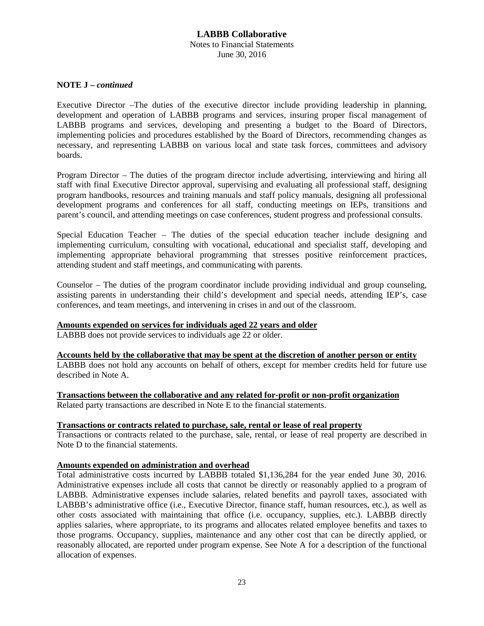## **LABBB Collaborative** Notes to Financial Statements June 30, 2016

#### **NOTE J –** *continued*

Executive Director –The duties of the executive director include providing leadership in planning, development and operation of LABBB programs and services, insuring proper fiscal management of LABBB programs and services, developing and presenting a budget to the Board of Directors, implementing policies and procedures established by the Board of Directors, recommending changes as necessary, and representing LABBB on various local and state task forces, committees and advisory boards.

Program Director – The duties of the program director include advertising, interviewing and hiring all staff with final Executive Director approval, supervising and evaluating all professional staff, designing program handbooks, resources and training manuals and staff policy manuals, designing all professional development programs and conferences for all staff, conducting meetings on IEPs, transitions and parent's council, and attending meetings on case conferences, student progress and professional consults.

Special Education Teacher – The duties of the special education teacher include designing and implementing curriculum, consulting with vocational, educational and specialist staff, developing and implementing appropriate behavioral programming that stresses positive reinforcement practices, attending student and staff meetings, and communicating with parents.

Counselor – The duties of the program coordinator include providing individual and group counseling, assisting parents in understanding their child's development and special needs, attending IEP's, case conferences, and team meetings, and intervening in crises in and out of the classroom.

#### **Amounts expended on services for individuals aged 22 years and older**

LABBB does not provide services to individuals age 22 or older.

**Accounts held by the collaborative that may be spent at the discretion of another person or entity** LABBB does not hold any accounts on behalf of others, except for member credits held for future use described in Note A.

**Transactions between the collaborative and any related for-profit or non-profit organization**

Related party transactions are described in Note E to the financial statements.

#### **Transactions or contracts related to purchase, sale, rental or lease of real property**

Transactions or contracts related to the purchase, sale, rental, or lease of real property are described in Note D to the financial statements.

#### **Amounts expended on administration and overhead**

Total administrative costs incurred by LABBB totaled \$1,136,284 for the year ended June 30, 2016. Administrative expenses include all costs that cannot be directly or reasonably applied to a program of LABBB. Administrative expenses include salaries, related benefits and payroll taxes, associated with LABBB's administrative office (i.e., Executive Director, finance staff, human resources, etc.), as well as other costs associated with maintaining that office (i.e. occupancy, supplies, etc.). LABBB directly applies salaries, where appropriate, to its programs and allocates related employee benefits and taxes to those programs. Occupancy, supplies, maintenance and any other cost that can be directly applied, or reasonably allocated, are reported under program expense. See Note A for a description of the functional allocation of expenses.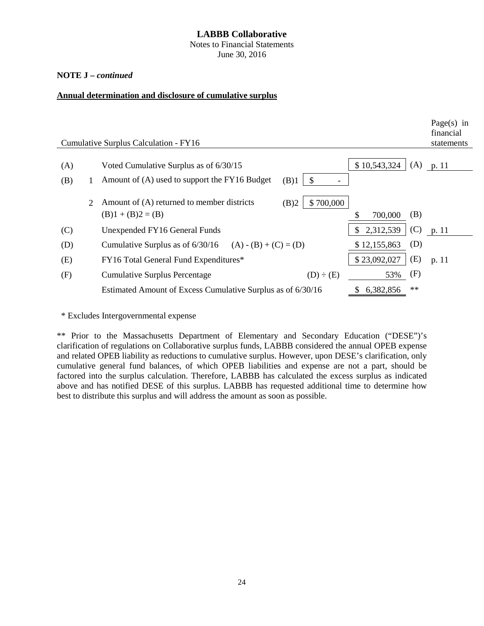Notes to Financial Statements June 30, 2016

#### **NOTE J –** *continued*

#### **Annual determination and disclosure of cumulative surplus**

|     |                             |                                                                                        |                        | Page $(s)$ in<br>financial |
|-----|-----------------------------|----------------------------------------------------------------------------------------|------------------------|----------------------------|
|     |                             | Cumulative Surplus Calculation - FY16                                                  |                        | statements                 |
| (A) |                             | Voted Cumulative Surplus as of 6/30/15                                                 | \$10,543,324<br>(A)    | p. 11                      |
| (B) |                             | Amount of (A) used to support the FY16 Budget<br>(B)1<br>\$                            |                        |                            |
|     | $\mathcal{D}_{\mathcal{L}}$ | Amount of (A) returned to member districts<br>\$700,000<br>(B)2<br>$(B)1 + (B)2 = (B)$ | (B)<br>\$<br>700,000   |                            |
| (C) |                             | Unexpended FY16 General Funds                                                          | (C)<br>2,312,539<br>\$ | p. 11                      |
| (D) |                             | Cumulative Surplus as of $6/30/16$ (A) - (B) + (C) = (D)                               | (D)<br>\$12,155,863    |                            |
| (E) |                             | FY16 Total General Fund Expenditures*                                                  | (E)<br>\$23,092,027    | p. 11                      |
| (F) |                             | <b>Cumulative Surplus Percentage</b><br>$(D) \div (E)$                                 | (F)<br>53%             |                            |
|     |                             | Estimated Amount of Excess Cumulative Surplus as of 6/30/16                            | $**$<br>6,382,856      |                            |

\* Excludes Intergovernmental expense

\*\* Prior to the Massachusetts Department of Elementary and Secondary Education ("DESE")'s clarification of regulations on Collaborative surplus funds, LABBB considered the annual OPEB expense and related OPEB liability as reductions to cumulative surplus. However, upon DESE's clarification, only cumulative general fund balances, of which OPEB liabilities and expense are not a part, should be factored into the surplus calculation. Therefore, LABBB has calculated the excess surplus as indicated above and has notified DESE of this surplus. LABBB has requested additional time to determine how best to distribute this surplus and will address the amount as soon as possible.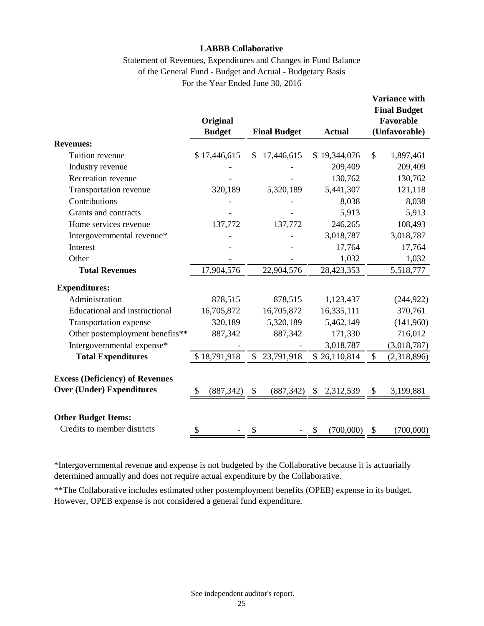# Statement of Revenues, Expenditures and Changes in Fund Balance of the General Fund - Budget and Actual - Budgetary Basis For the Year Ended June 30, 2016

|                                                                            | Original<br><b>Budget</b> |              | <b>Final Budget</b> | <b>Actual</b>   | <b>Variance with</b><br><b>Final Budget</b><br>Favorable<br>(Unfavorable) |
|----------------------------------------------------------------------------|---------------------------|--------------|---------------------|-----------------|---------------------------------------------------------------------------|
| <b>Revenues:</b>                                                           |                           |              |                     |                 |                                                                           |
| Tuition revenue                                                            | \$17,446,615              |              | 17,446,615          | \$19,344,076    | \$<br>1,897,461                                                           |
| Industry revenue                                                           |                           |              |                     | 209,409         | 209,409                                                                   |
| Recreation revenue                                                         |                           |              |                     | 130,762         | 130,762                                                                   |
| Transportation revenue                                                     | 320,189                   |              | 5,320,189           | 5,441,307       | 121,118                                                                   |
| Contributions                                                              |                           |              |                     | 8,038           | 8,038                                                                     |
| Grants and contracts                                                       |                           |              |                     | 5,913           | 5,913                                                                     |
| Home services revenue                                                      | 137,772                   |              | 137,772             | 246,265         | 108,493                                                                   |
| Intergovernmental revenue*                                                 |                           |              |                     | 3,018,787       | 3,018,787                                                                 |
| Interest                                                                   |                           |              |                     | 17,764          | 17,764                                                                    |
| Other                                                                      |                           |              |                     | 1,032           | 1,032                                                                     |
| <b>Total Revenues</b>                                                      | 17,904,576                |              | 22,904,576          | 28,423,353      | 5,518,777                                                                 |
| <b>Expenditures:</b>                                                       |                           |              |                     |                 |                                                                           |
| Administration                                                             | 878,515                   |              | 878,515             | 1,123,437       | (244, 922)                                                                |
| Educational and instructional                                              | 16,705,872                |              | 16,705,872          | 16,335,111      | 370,761                                                                   |
| Transportation expense                                                     | 320,189                   |              | 5,320,189           | 5,462,149       | (141,960)                                                                 |
| Other postemployment benefits**                                            | 887,342                   |              | 887,342             | 171,330         | 716,012                                                                   |
| Intergovernmental expense*                                                 |                           |              |                     | 3,018,787       | (3,018,787)                                                               |
| <b>Total Expenditures</b>                                                  | \$18,791,918              | $\mathbb{S}$ | 23,791,918          | \$26,110,814    | \$<br>(2,318,896)                                                         |
| <b>Excess (Deficiency) of Revenues</b><br><b>Over (Under) Expenditures</b> | (887, 342)<br>\$          | \$           | (887, 342)          | \$<br>2,312,539 | \$<br>3,199,881                                                           |
| <b>Other Budget Items:</b><br>Credits to member districts                  | \$                        | \$           |                     | \$<br>(700,000) | \$<br>(700,000)                                                           |

\*Intergovernmental revenue and expense is not budgeted by the Collaborative because it is actuarially determined annually and does not require actual expenditure by the Collaborative.

\*\*The Collaborative includes estimated other postemployment benefits (OPEB) expense in its budget. However, OPEB expense is not considered a general fund expenditure.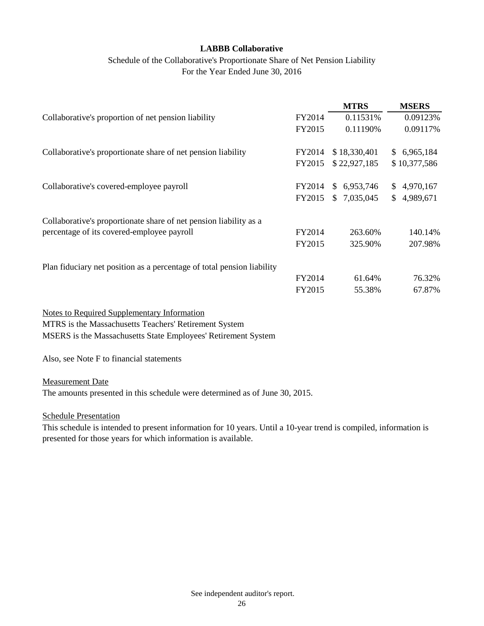# Schedule of the Collaborative's Proportionate Share of Net Pension Liability For the Year Ended June 30, 2016

|                                                                        |        | <b>MTRS</b>  | <b>MSERS</b> |
|------------------------------------------------------------------------|--------|--------------|--------------|
| Collaborative's proportion of net pension liability                    | FY2014 | 0.11531%     | 0.09123%     |
|                                                                        | FY2015 | 0.11190%     | 0.09117%     |
| Collaborative's proportionate share of net pension liability           | FY2014 | \$18,330,401 | \$6,965,184  |
|                                                                        | FY2015 | \$22,927,185 | \$10,377,586 |
| Collaborative's covered-employee payroll                               | FY2014 | \$6,953,746  | \$4,970,167  |
|                                                                        | FY2015 | \$7,035,045  | \$4,989,671  |
| Collaborative's proportionate share of net pension liability as a      |        |              |              |
| percentage of its covered-employee payroll                             | FY2014 | 263.60%      | 140.14%      |
|                                                                        | FY2015 | 325.90%      | 207.98%      |
| Plan fiduciary net position as a percentage of total pension liability |        |              |              |
|                                                                        | FY2014 | 61.64%       | 76.32%       |
|                                                                        | FY2015 | 55.38%       | 67.87%       |
| <b>Notes to Required Supplementary Information</b>                     |        |              |              |

MTRS is the Massachusetts Teachers' Retirement System MSERS is the Massachusetts State Employees' Retirement System

Also, see Note F to financial statements

Measurement Date

The amounts presented in this schedule were determined as of June 30, 2015.

Schedule Presentation

This schedule is intended to present information for 10 years. Until a 10-year trend is compiled, information is presented for those years for which information is available.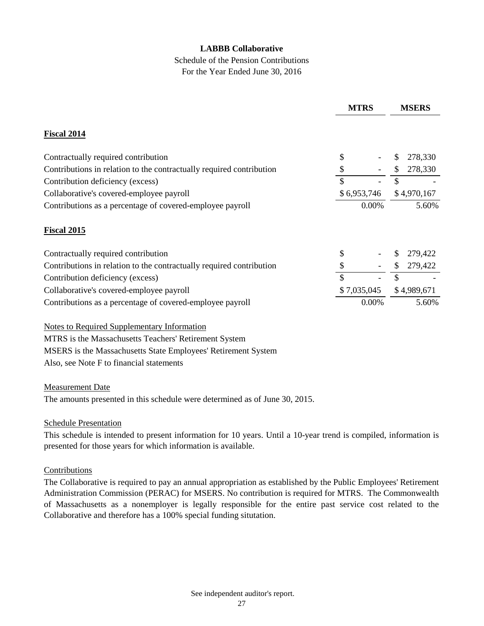# Schedule of the Pension Contributions For the Year Ended June 30, 2016

|                                                                      | <b>MTRS</b> |             | <b>MSERS</b> |             |  |
|----------------------------------------------------------------------|-------------|-------------|--------------|-------------|--|
| <b>Fiscal 2014</b>                                                   |             |             |              |             |  |
| Contractually required contribution                                  | \$          |             | \$           | 278,330     |  |
| Contributions in relation to the contractually required contribution | \$          |             | \$           | 278,330     |  |
| Contribution deficiency (excess)                                     | \$          |             | \$           |             |  |
| Collaborative's covered-employee payroll                             | \$6,953,746 |             |              | \$4,970,167 |  |
| Contributions as a percentage of covered-employee payroll            | $0.00\%$    |             | 5.60%        |             |  |
| <b>Fiscal 2015</b>                                                   |             |             |              |             |  |
| Contractually required contribution                                  | \$          |             | \$           | 279,422     |  |
| Contributions in relation to the contractually required contribution | \$          |             | \$           | 279,422     |  |
| Contribution deficiency (excess)                                     | \$          |             | \$           |             |  |
| Collaborative's covered-employee payroll                             |             | \$7,035,045 |              | \$4,989,671 |  |
| Contributions as a percentage of covered-employee payroll            |             | 0.00%       |              | 5.60%       |  |

Notes to Required Supplementary Information MTRS is the Massachusetts Teachers' Retirement System MSERS is the Massachusetts State Employees' Retirement System Also, see Note F to financial statements

## Measurement Date

The amounts presented in this schedule were determined as of June 30, 2015.

## Schedule Presentation

This schedule is intended to present information for 10 years. Until a 10-year trend is compiled, information is presented for those years for which information is available.

## Contributions

The Collaborative is required to pay an annual appropriation as established by the Public Employees' Retirement Administration Commission (PERAC) for MSERS. No contribution is required for MTRS. The Commonwealth of Massachusetts as a nonemployer is legally responsible for the entire past service cost related to the Collaborative and therefore has a 100% special funding situtation.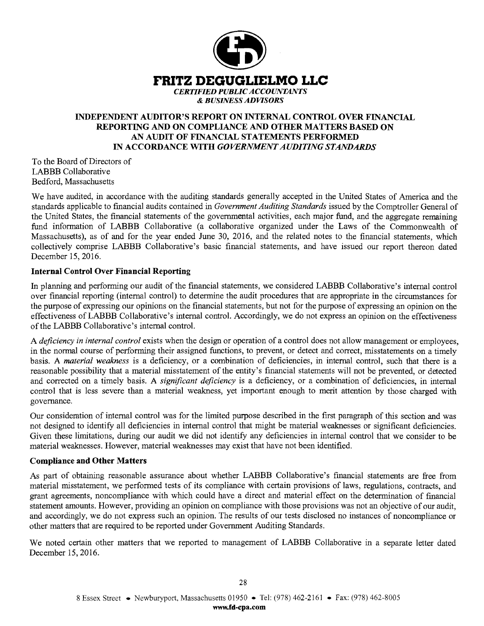

# **INDEPENDENT AUDITOR'S REPORT ON INTERNAL CONTROL OVER FINANCIAL REPORTING AND ON COMPLIANCE AND OTHER MATTERS BASED ON AN AUDIT OF FINANCIAL STATEMENTS PERFORMED**  IN **ACCORDANCE WITH** *GOVERNMENT AUDITING STANDARDS*

To the Board of Directors of LABBB Collaborative Bedford, Massachusetts

We have audited, in accordance with the auditing standards generally accepted in the United States of America and the standards applicable to financial audits contained in *Government Auditing Standards* issued by the Comptroller General of the United States, the financial statements of the governmental activities, each major fund, and the aggregate remaining fund information of LABBB Collaborative (a collaborative organized under the Laws of the Commonwealth of Massachusetts), as of and for the year ended June 30, 2016, and the related notes to the financial statements, which collectively comprise LABBB Collaborative's basic financial statements, and have issued our report thereon dated December 15, 2016.

# **Internal Control Over Financial Reporting**

In planning and performing our audit of the financial statements, we considered LABBB Collaborative's internal control over financial reporting (internal control) to determine the audit procedures that are appropriate in the circumstances for the purpose of expressing our opinions on the financial statements, but not for the purpose of expressing an opinion on the effectiveness of LABBB Collaborative's internal control. Accordingly, we do not express an opinion on the effectiveness of the LABBB Collaborative's internal control.

A *deficiency in internal control* exists when the design or operation of a control does not allow management or employees, in the normal course of performing their assigned functions, to prevent, or detect and correct, misstatements on a timely basis. A *material weakness* is a deficiency, or a combination of deficiencies, in internal control, such that there is a reasonable possibility that a material misstatement of the entity's financial statements will not be prevented, or detected and corrected on a timely basis. **A** *significant deficiency* is a deficiency, or a combination of deficiencies, in internal control that is less severe than a material weakness, yet important enough to merit attention by those charged with governance.

Our consideration of internal control was for the limited purpose described in the first paragraph of this section and was not designed to identify all deficiencies in internal control that might be material weaknesses or significant deficiencies. Given these limitations, during our audit we did not identify any deficiencies in internal control that we consider to be material weaknesses. However, material weaknesses may exist that have not been identified.

## **Compliance and Other Matters**

As part of obtaining reasonable assurance about whether LABBB Collaborative's financial statements are free from material misstatement, we performed tests of its compliance with certain provisions of laws, regulations, contracts, and grant agreements, noncompliance with which could have a direct and material effect on the determination of financial statement amounts. However, providing an opinion on compliance with those provisions was not an objective of our audit, and accordingly, we do not express such an opinion. The results of our tests disclosed no instances of noncompliance or other matters that are required to be reported under Government Auditing Standards.

We noted certain other matters that we reported to management of LABBB Collaborative in a separate letter dated December 15, 2016.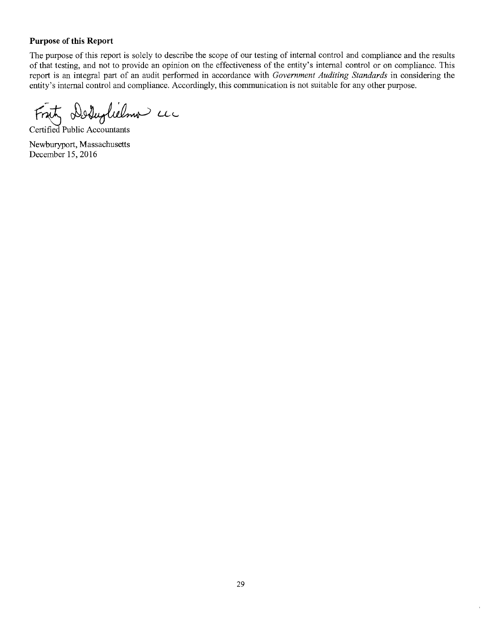# **Purpose of this Report**

The purpose of this report is solely to describe the scope of our testing of internal control and compliance and the results of that testing, and not to provide an opinion on the effectiveness of the entity's internal control or on compliance. This report is an integral part of an audit performed in accordance with *Government Auditing Standards* in considering the entity's internal control and compliance. Accordingly, this communication is not suitable for any other purpose.

Fritz Deduglielmo uc

Certified Public Accountants

Newburyport, Massachusetts December 15, 2016